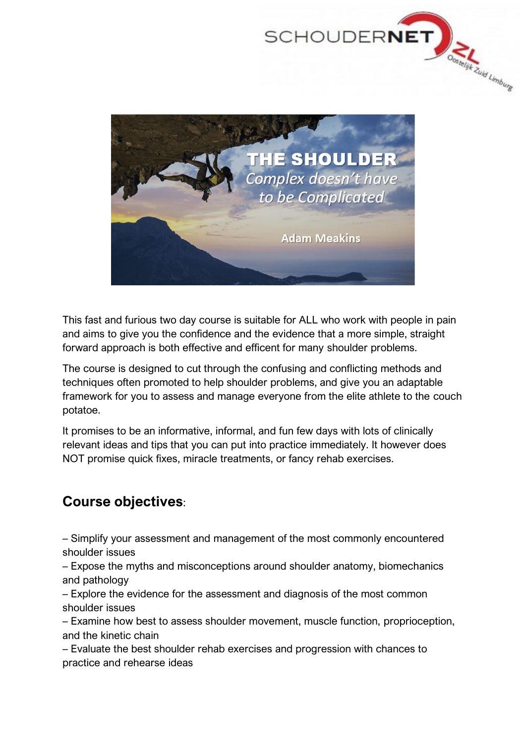



This fast and furious two day course is suitable for ALL who work with people in pain and aims to give you the confidence and the evidence that a more simple, straight forward approach is both effective and efficent for many shoulder problems.

The course is designed to cut through the confusing and conflicting methods and techniques often promoted to help shoulder problems, and give you an adaptable framework for you to assess and manage everyone from the elite athlete to the couch potatoe.

It promises to be an informative, informal, and fun few days with lots of clinically relevant ideas and tips that you can put into practice immediately. It however does NOT promise quick fixes, miracle treatments, or fancy rehab exercises.

## **Course objectives**:

– Simplify your assessment and management of the most commonly encountered shoulder issues

– Expose the myths and misconceptions around shoulder anatomy, biomechanics and pathology

– Explore the evidence for the assessment and diagnosis of the most common shoulder issues

– Examine how best to assess shoulder movement, muscle function, proprioception, and the kinetic chain

– Evaluate the best shoulder rehab exercises and progression with chances to practice and rehearse ideas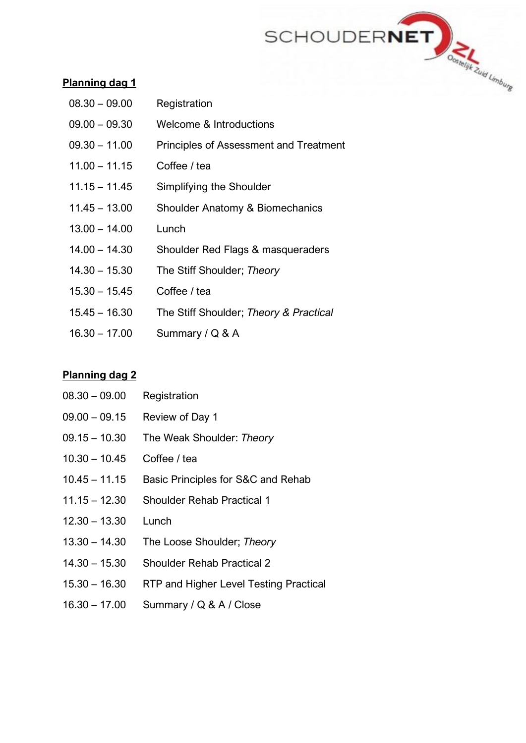

| $08.30 - 09.00$ | Registration                           |
|-----------------|----------------------------------------|
| $09.00 - 09.30$ | <b>Welcome &amp; Introductions</b>     |
| $09.30 - 11.00$ | Principles of Assessment and Treatment |
| $11.00 - 11.15$ | Coffee / tea                           |
| $11.15 - 11.45$ | Simplifying the Shoulder               |
| $11.45 - 13.00$ | Shoulder Anatomy & Biomechanics        |
| $13.00 - 14.00$ | Lunch                                  |
| $14.00 - 14.30$ | Shoulder Red Flags & masqueraders      |
| $14.30 - 15.30$ | The Stiff Shoulder; Theory             |
| $15.30 - 15.45$ | Coffee / tea                           |
| $15.45 - 16.30$ | The Stiff Shoulder; Theory & Practical |
| $16.30 - 17.00$ | Summary / Q & A                        |

SCHOUDERNET

## **Planning dag 2**

| $08.30 - 09.00$ | Registration                                  |
|-----------------|-----------------------------------------------|
| $09.00 - 09.15$ | Review of Day 1                               |
| $09.15 - 10.30$ | The Weak Shoulder: Theory                     |
| $10.30 - 10.45$ | Coffee / tea                                  |
| $10.45 - 11.15$ | Basic Principles for S&C and Rehab            |
| $11.15 - 12.30$ | Shoulder Rehab Practical 1                    |
| $12.30 - 13.30$ | Lunch                                         |
| $13.30 - 14.30$ | The Loose Shoulder; Theory                    |
| $14.30 - 15.30$ | <b>Shoulder Rehab Practical 2</b>             |
| $15.30 - 16.30$ | <b>RTP and Higher Level Testing Practical</b> |
| $16.30 - 17.00$ | Summary / Q & A / Close                       |
|                 |                                               |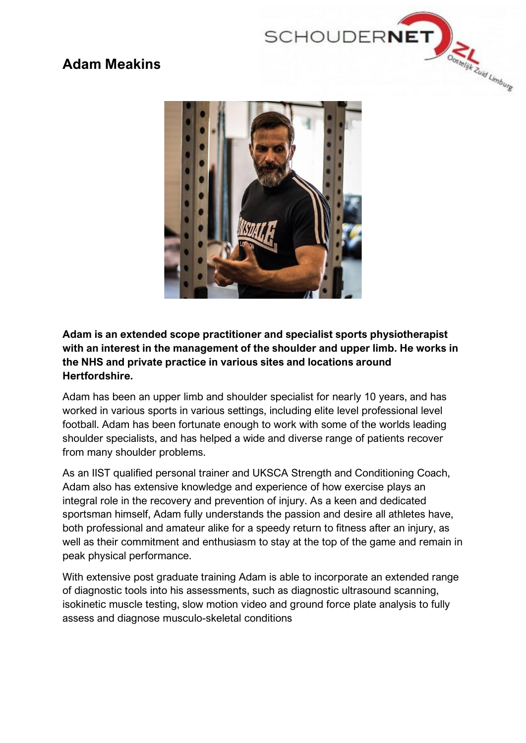

## **Adam Meakins**



## **Adam is an extended scope practitioner and specialist sports physiotherapist with an interest in the management of the shoulder and upper limb. He works in the NHS and private practice in various sites and locations around Hertfordshire.**

Adam has been an upper limb and shoulder specialist for nearly 10 years, and has worked in various sports in various settings, including elite level professional level football. Adam has been fortunate enough to work with some of the worlds leading shoulder specialists, and has helped a wide and diverse range of patients recover from many shoulder problems.

As an IIST qualified personal trainer and UKSCA Strength and Conditioning Coach, Adam also has extensive knowledge and experience of how exercise plays an integral role in the recovery and prevention of injury. As a keen and dedicated sportsman himself, Adam fully understands the passion and desire all athletes have, both professional and amateur alike for a speedy return to fitness after an injury, as well as their commitment and enthusiasm to stay at the top of the game and remain in peak physical performance.

With extensive post graduate training Adam is able to incorporate an extended range of diagnostic tools into his assessments, such as diagnostic ultrasound scanning, isokinetic muscle testing, slow motion video and ground force plate analysis to fully assess and diagnose musculo-skeletal conditions